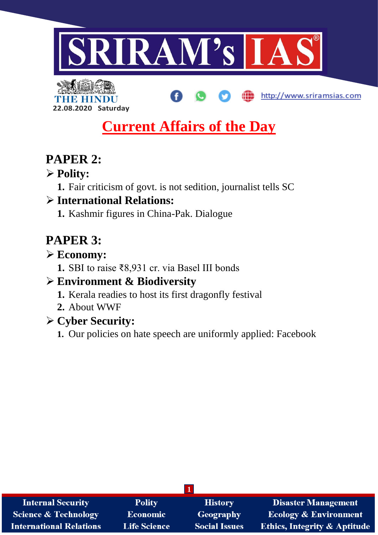



# **Current Affairs of the Day**

http://www.sriramsias.com

# **PAPER 2:**

## **Polity:**

**1.** Fair criticism of govt. is not sedition, journalist tells SC

## **International Relations:**

**1.** Kashmir figures in China-Pak. Dialogue

# **PAPER 3:**

### **Economy:**

**1.** SBI to raise ₹8,931 cr. via Basel III bonds

## **Environment & Biodiversity**

- **1.** Kerala readies to host its first dragonfly festival
- **2.** About WWF

## **Cyber Security:**

**1.** Our policies on hate speech are uniformly applied: Facebook

| <b>Internal Security</b>        | <b>Polity</b>       | <b>History</b>       | <b>Disaster Management</b>              |
|---------------------------------|---------------------|----------------------|-----------------------------------------|
| <b>Science &amp; Technology</b> | <b>Economic</b>     | <b>Geography</b>     | <b>Ecology &amp; Environment</b>        |
| <b>International Relations</b>  | <b>Life Science</b> | <b>Social Issues</b> | <b>Ethics, Integrity &amp; Aptitude</b> |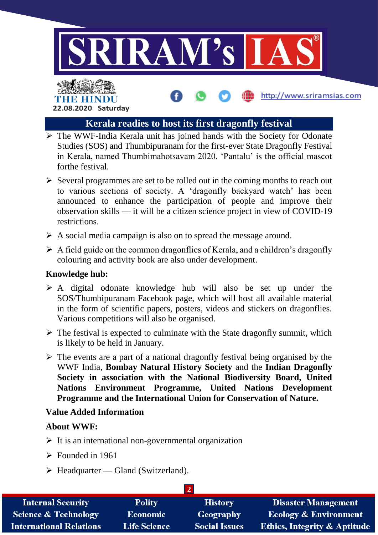

http://www.sriramsias.com

### THE HINDI **22.08.2020 Saturday**

#### **Kerala readies to host its first dragonfly festival**

- $\triangleright$  The WWF-India Kerala unit has joined hands with the Society for Odonate Studies (SOS) and Thumbipuranam for the first-ever State Dragonfly Festival in Kerala, named Thumbimahotsavam 2020. 'Pantalu' is the official mascot forthe festival.
- $\triangleright$  Several programmes are set to be rolled out in the coming months to reach out to various sections of society. A 'dragonfly backyard watch' has been announced to enhance the participation of people and improve their observation skills — it will be a citizen science project in view of COVID-19 restrictions.
- $\triangleright$  A social media campaign is also on to spread the message around.
- $\triangleright$  A field guide on the common dragonflies of Kerala, and a children's dragonfly colouring and activity book are also under development.

#### **Knowledge hub:**

- $\triangleright$  A digital odonate knowledge hub will also be set up under the SOS/Thumbipuranam Facebook page, which will host all available material in the form of scientific papers, posters, videos and stickers on dragonflies. Various competitions will also be organised.
- $\triangleright$  The festival is expected to culminate with the State dragonfly summit, which is likely to be held in January.
- $\triangleright$  The events are a part of a national dragonfly festival being organised by the WWF India, **Bombay Natural History Society** and the **Indian Dragonfly Society in association with the National Biodiversity Board, United Nations Environment Programme, United Nations Development Programme and the International Union for Conservation of Nature.**

#### **Value Added Information**

#### **About WWF:**

- $\triangleright$  It is an international non-governmental organization
- $\triangleright$  Founded in 1961
- $\triangleright$  Headquarter Gland (Switzerland).

| <b>Internal Security</b>        | <b>Polity</b>       | <b>History</b>       | <b>Disaster Management</b>              |
|---------------------------------|---------------------|----------------------|-----------------------------------------|
| <b>Science &amp; Technology</b> | <b>Economic</b>     | <b>Geography</b>     | <b>Ecology &amp; Environment</b>        |
| <b>International Relations</b>  | <b>Life Science</b> | <b>Social Issues</b> | <b>Ethics, Integrity &amp; Aptitude</b> |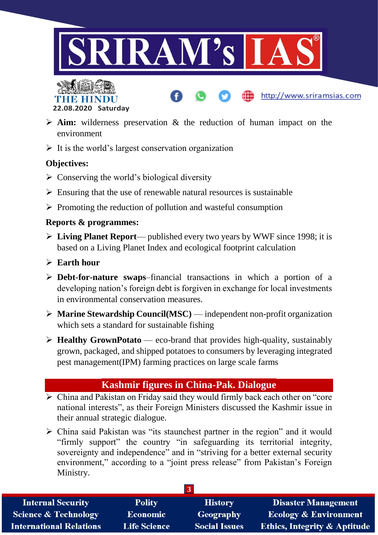



 **Aim:** wilderness preservation & the reduction of human impact on the environment

http://www.sriramsias.com

 $\triangleright$  It is the world's largest conservation organization

#### **Objectives:**

- $\triangleright$  Conserving the world's biological diversity
- $\triangleright$  Ensuring that the use of renewable natural resources is sustainable
- $\triangleright$  Promoting the reduction of pollution and wasteful consumption

#### **Reports & programmes:**

- **Living Planet Report** published every two years by WWF since 1998; it is based on a Living Planet Index and ecological footprint calculation
- **Earth hour**
- **Debt-for-nature swaps**–financial transactions in which a portion of a developing nation's foreign debt is forgiven in exchange for local investments in environmental conservation measures.
- **Marine Stewardship Council(MSC)** independent non-profit organization which sets a standard for sustainable fishing
- **Healthy GrownPotato** eco-brand that provides high-quality, sustainably grown, packaged, and shipped potatoes to consumers by leveraging integrated pest management(IPM) farming practices on large scale farms

### **Kashmir figures in China-Pak. Dialogue**

- $\triangleright$  China and Pakistan on Friday said they would firmly back each other on "core" national interests", as their Foreign Ministers discussed the Kashmir issue in their annual strategic dialogue.
- $\triangleright$  China said Pakistan was "its staunchest partner in the region" and it would "firmly support" the country "in safeguarding its territorial integrity, sovereignty and independence" and in "striving for a better external security environment," according to a "joint press release" from Pakistan's Foreign Ministry.

| <b>Internal Security</b>        | <b>Polity</b>       | <b>History</b>       | <b>Disaster Management</b>              |
|---------------------------------|---------------------|----------------------|-----------------------------------------|
| <b>Science &amp; Technology</b> | <b>Economic</b>     | Geography            | <b>Ecology &amp; Environment</b>        |
| <b>International Relations</b>  | <b>Life Science</b> | <b>Social Issues</b> | <b>Ethics, Integrity &amp; Aptitude</b> |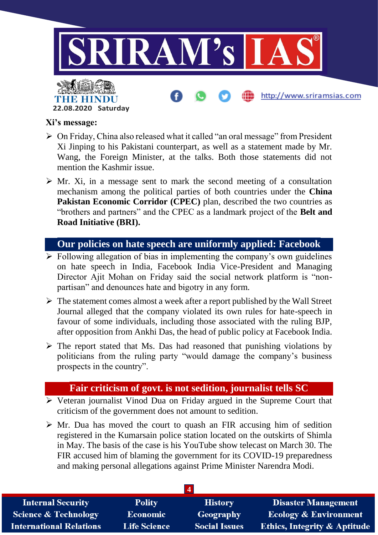

#### **Xi's message:**

THE HIN

**22.08.2020 Saturday**

- $\triangleright$  On Friday, China also released what it called "an oral message" from President Xi Jinping to his Pakistani counterpart, as well as a statement made by Mr. Wang, the Foreign Minister, at the talks. Both those statements did not mention the Kashmir issue.
- $\triangleright$  Mr. Xi, in a message sent to mark the second meeting of a consultation mechanism among the political parties of both countries under the **China Pakistan Economic Corridor (CPEC)** plan, described the two countries as "brothers and partners" and the CPEC as a landmark project of the **Belt and Road Initiative (BRI).**

#### **Our policies on hate speech are uniformly applied: Facebook**

- $\triangleright$  Following allegation of bias in implementing the company's own guidelines on hate speech in India, Facebook India Vice-President and Managing Director Ajit Mohan on Friday said the social network platform is "nonpartisan" and denounces hate and bigotry in any form.
- $\triangleright$  The statement comes almost a week after a report published by the Wall Street Journal alleged that the company violated its own rules for hate-speech in favour of some individuals, including those associated with the ruling BJP, after opposition from Ankhi Das, the head of public policy at Facebook India.
- $\triangleright$  The report stated that Ms. Das had reasoned that punishing violations by politicians from the ruling party "would damage the company's business prospects in the country".

#### **Fair criticism of govt. is not sedition, journalist tells SC**

- $\triangleright$  Veteran journalist Vinod Dua on Friday argued in the Supreme Court that criticism of the government does not amount to sedition.
- $\triangleright$  Mr. Dua has moved the court to quash an FIR accusing him of sedition registered in the Kumarsain police station located on the outskirts of Shimla in May. The basis of the case is his YouTube show telecast on March 30. The FIR accused him of blaming the government for its COVID-19 preparedness and making personal allegations against Prime Minister Narendra Modi.

| <b>Internal Security</b>       | <b>Polity</b>       | <b>History</b>       | <b>Disaster Management</b>              |
|--------------------------------|---------------------|----------------------|-----------------------------------------|
| Science & Technology           | <b>Economic</b>     | <b>Geography</b>     | <b>Ecology &amp; Environment</b>        |
| <b>International Relations</b> | <b>Life Science</b> | <b>Social Issues</b> | <b>Ethics, Integrity &amp; Aptitude</b> |